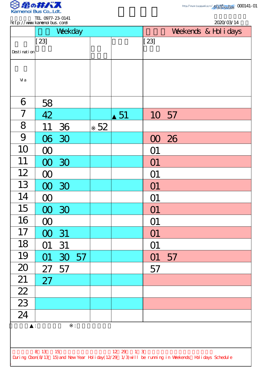

| IEL <i>WII-2</i> 5-014      |  |
|-----------------------------|--|
| http://www.kanenoi.bus.com/ |  |

| http://www.kanenoi.bus.com/ |          |       |       |    |                |        |                                                                                                    |  | 2020/03/14 |
|-----------------------------|----------|-------|-------|----|----------------|--------|----------------------------------------------------------------------------------------------------|--|------------|
|                             | Weekday  |       |       |    |                |        | Weekends & Hol i days                                                                              |  |            |
|                             | $[23]$   |       |       |    |                | $[23]$ |                                                                                                    |  |            |
| Desti nati on               |          |       |       |    |                |        |                                                                                                    |  |            |
|                             |          |       |       |    |                |        |                                                                                                    |  |            |
| Vi a                        |          |       |       |    |                |        |                                                                                                    |  |            |
|                             |          |       |       |    |                |        |                                                                                                    |  |            |
| 6                           | 58       |       |       |    |                |        |                                                                                                    |  |            |
| $\overline{ }$              | 42       |       |       |    | 51             |        | 10 57                                                                                              |  |            |
| 8                           | 11       | 36    |       | 52 |                |        |                                                                                                    |  |            |
| 9                           |          | 06 30 |       |    |                |        | 00 26                                                                                              |  |            |
| 10                          | $\infty$ |       |       |    |                | O1     |                                                                                                    |  |            |
| 11                          | $\infty$ | 30    |       |    |                | O1     |                                                                                                    |  |            |
| 12                          | $\infty$ |       |       |    |                | O1     |                                                                                                    |  |            |
| 13                          |          | 00 30 |       |    |                | O1     |                                                                                                    |  |            |
| 14                          | $\infty$ |       |       |    |                | O1     |                                                                                                    |  |            |
| 15                          |          | 00 30 |       |    |                | O1     |                                                                                                    |  |            |
| 16                          | $\infty$ |       |       |    |                | O1     |                                                                                                    |  |            |
| 17                          | $\Omega$ | 31    |       |    |                | O1     |                                                                                                    |  |            |
| 18                          | O1       | 31    |       |    |                | O1     |                                                                                                    |  |            |
| 19                          | O1       |       | 30 57 |    |                | O1     | 57                                                                                                 |  |            |
| 20                          | 27       | 57    |       |    |                | 57     |                                                                                                    |  |            |
| 21                          | 27       |       |       |    |                |        |                                                                                                    |  |            |
| $\frac{22}{23}$             |          |       |       |    |                |        |                                                                                                    |  |            |
|                             |          |       |       |    |                |        |                                                                                                    |  |            |
| $\overline{24}$             |          |       |       |    |                |        |                                                                                                    |  |            |
|                             |          |       | ÷.    |    |                |        |                                                                                                    |  |            |
|                             |          |       |       |    |                |        |                                                                                                    |  |            |
|                             | 8 13 15  |       |       |    | $12 \t29 \t13$ |        |                                                                                                    |  |            |
|                             |          |       |       |    |                |        | During Cbon(8/13 15) and New Year Holiday(12/29 1/3) will be running in Weekends Holidays Schedule |  |            |